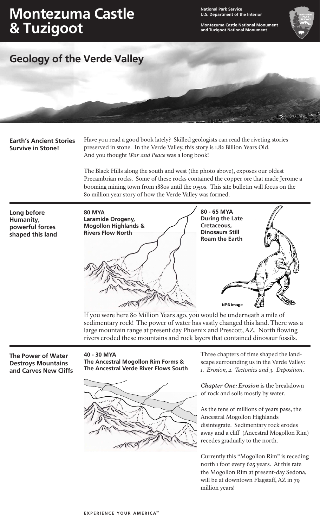# **Montezuma Castle & Tuzigoot**

**National Park Service U.S. Department of the Interior**

**Montezuma Castle National Monument and Tuzigoot National Monument**



## **Geology of the Verde Valley**

**Earth's Ancient Stories Survive in Stone!**

Have you read a good book lately? Skilled geologists can read the riveting stories preserved in stone. In the Verde Valley, this story is 1.82 Billion Years Old. And you thought *War and Peace* was a long book!

The Black Hills along the south and west (the photo above), exposes our oldest Precambrian rocks. Some of these rocks contained the copper ore that made Jerome a booming mining town from 1880s until the 1950s. This site bulletin will focus on the 80 million year story of how the Verde Valley was formed.

**Long before Humanity, powerful forces shaped this land**



If you were here 80 Million Years ago, you would be underneath a mile of sedimentary rock! The power of water has vastly changed this land. There was a large mountain range at present day Phoenix and Prescott, AZ. North flowing rivers eroded these mountains and rock layers that contained dinosaur fossils.

**The Power of Water Destroys Mountains and Carves New Cliffs** 

### **40 - 30 MYA**

**The Ancestral Mogollon Rim Forms & The Ancestral Verde River Flows South**



Three chapters of time shaped the landscape surrounding us in the Verde Valley: *1. Erosion, 2. Tectonics and 3. Deposition*.

*Chapter One: Erosion* is the breakdown of rock and soils mostly by water.

As the tens of millions of years pass, the Ancestral Mogollon Highlands disintegrate. Sedimentary rock erodes away and a cliff (Ancestral Mogollon Rim) recedes gradually to the north.

Currently this "Mogollon Rim" is receding north 1 foot every 625 years. At this rate the Mogollon Rim at present-day Sedona, will be at downtown Flagstaff, AZ in 79 million years!